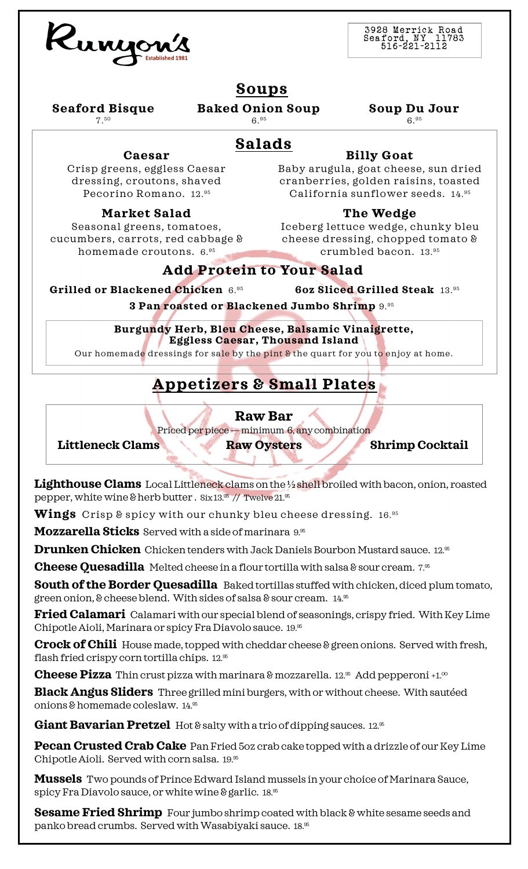

3928 Merrick Road Seaford, NY 11783 51 6 -2 21 -2 11 2

### **Soups**

**Seaford Bisque**  7.<sup>50</sup>

**Baked Onion Soup**  6.<sup>95</sup>

**Soup Du Jour** 

6.<sup>95</sup>

### **Salads**

#### **Billy Goat** Baby arugula, goat cheese, sun dried

Crisp greens, eggless Caesar dressing, croutons, shaved Pecorino Romano. 12.<sup>95</sup>

**Caesar**

#### **Market Salad**

Seasonal greens, tomatoes, cucumbers, carrots, red cabbage & homemade croutons. 6.<sup>95</sup>

cranberries, golden raisins, toasted California sunflower seeds. 14.<sup>95</sup> **The Wedge**

Iceberg lettuce wedge, chunky bleu cheese dressing, chopped tomato & crumbled bacon. 13.<sup>95</sup>

#### **Add Protein to Your Salad**

**Grilled or Blackened Chicken** 6.<sup>95</sup> **6oz Sliced Grilled Steak** 13.<sup>95</sup>

**3 Pan roasted or Blackened Jumbo Shrimp** 9.95

**Burgundy Herb, Bleu Cheese, Balsamic Vinaigrette, Eggless Caesar, Thousand Island**

Our homemade dressings for sale by the pint & the quart for you to enjoy at home.

# **Appetizers & Small Plates**

#### **Raw Bar**

Priced per piece — minimum 6, any combination

Littleneck Clams Raw Oysters Shrimp Cocktail

**Lighthouse Clams** Local Littleneck clams on the ½ shell broiled with bacon, onion, roasted pepper, white wine & herb butter . Six 13.95 // Twelve 21.95

**Wings** Crisp & spicy with our chunky bleu cheese dressing. 16.<sup>95</sup>

**Mozzarella Sticks** Served with a side of marinara 9.<sup>95</sup>

**Drunken Chicken** Chicken tenders with Jack Daniels Bourbon Mustard sauce. 12.<sup>95</sup>

**Cheese Quesadilla** Melted cheese in a flour tortilla with salsa & sour cream. 7.<sup>55</sup>

**South of the Border Ouesadilla** Baked tortillas stuffed with chicken, diced plum tomato, green onion, & cheese blend. With sides of salsa & sour cream.  $14.85$ 

**Fried Calamari** Calamari with our special blend of seasonings, crispy fried. With Key Lime Chipotle Aioli, Marinara or spicy Fra Diavolo sauce. 19.<sup>95</sup>

**Crock of Chili** House made, topped with cheddar cheese & green onions. Served with fresh, flash fried crispy corn tortilla chips. 12.<sup>95</sup>

**Cheese Pizza** Thin crust pizza with marinara & mozzarella. 12.<sup>%</sup> Add pepperoni +1.<sup>00</sup>

**Black Angus Sliders** Three grilled mini burgers, with or without cheese. With sautéed onions & homemade coleslaw. 14.<sup>95</sup>

Giant Bavarian Pretzel Hot & salty with a trio of dipping sauces. 12.<sup>95</sup>

**Pecan Crusted Crab Cake** Pan Fried 5oz crab cake topped with a drizzle of our Key Lime Chipotle Aioli. Served with corn salsa. 19.<sup>95</sup>

**Mussels** Two pounds of Prince Edward Island mussels in your choice of Marinara Sauce, spicy Fra Diavolo sauce, or white wine & garlic. 18.<sup>95</sup>

**Sesame Fried Shrimp** Four jumbo shrimp coated with black & white sesame seeds and panko bread crumbs. Served with Wasabiyaki sauce. 18.<sup>95</sup>